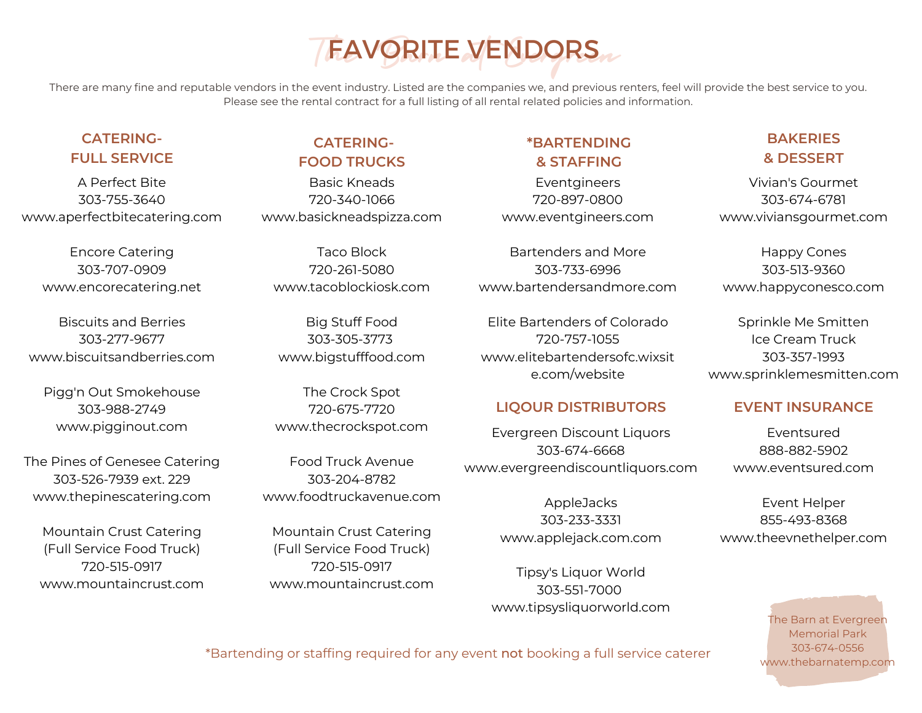# FAVORITE VENDORS

There are many fine and reputable vendors in the event industry. Listed are the companies we, and previous renters, feel will provide the best service to you. Please see the rental contract for a full listing of all rental related policies and information.

# **CATERING-FULL SERVICE**

A Perfect Bite 303-755-3640 www.aperfectbitecatering.com

Encore Catering 303-707-0909 www.encorecatering.net

Biscuits and Berries 303-277-9677 www.biscuitsandberries.com

Pigg'n Out Smokehouse 303-988-2749 www.pigginout.com

The Pines of Genesee Catering 303-526-7939 ext. 229 www.thepinescatering.com

Mountain Crust Catering (Full Service Food Truck) 720-515-0917 www.mountaincrust.com

# **CATERING-FOOD TRUCKS**

Basic Kneads 720-340-1066 www.basickneadspizza.com

Taco Block 720-261-5080 www.tacoblockiosk.com

Big Stuff Food 3[03-305-3773](tel:3033053773%20) www.bigstufffood.com

The Crock Spot [720-675-7720](tel:7206757720) www.thecrockspot.com

Food Truck Avenue 303-204-8782 [www.foodtruckavenue.com](http://www.foodtruckavenue.com/)

Mountain Crust Catering (Full Service Food Truck) 720-515-0917 www.mountaincrust.com

# **\*BARTENDING & STAFFING**

Eventgineers 720-897-0800 www.eventgineers.com

Bartenders and More 303-733-6996 www.bartendersandmore.com

Elite Bartenders of Colorado 720-757-1055 www.elitebartendersofc.wixsit e.com/website

# **LIQOUR DISTRIBUTORS EVENT INSURANCE**

Evergreen Discount Liquors 303-674-6668 www.evergreendiscountliquors.com

> AppleJacks 303-233-3331 www.applejack.com.com

Tipsy's Liquor World 303-551-7000 www.tipsysliquorworld.com

# **BAKERIES & DESSERT**

Vivian's Gourmet 303-674-6781 www.viviansgourmet.com

Happy Cones 303-513-9360 www.happyconesco.com

Sprinkle Me Smitten Ice Cream Truck 303-357-1993 www.sprinklemesmitten.com

Eventsured 888-882-5902 www.eventsured.com

Event Helper 855-493-8368 www.theevnethelper.com

> The Barn at Evergreen Memorial Park 303-674-0556 www.thebarnatemp.com

\*Bartending or staffing required for any event not booking a full service caterer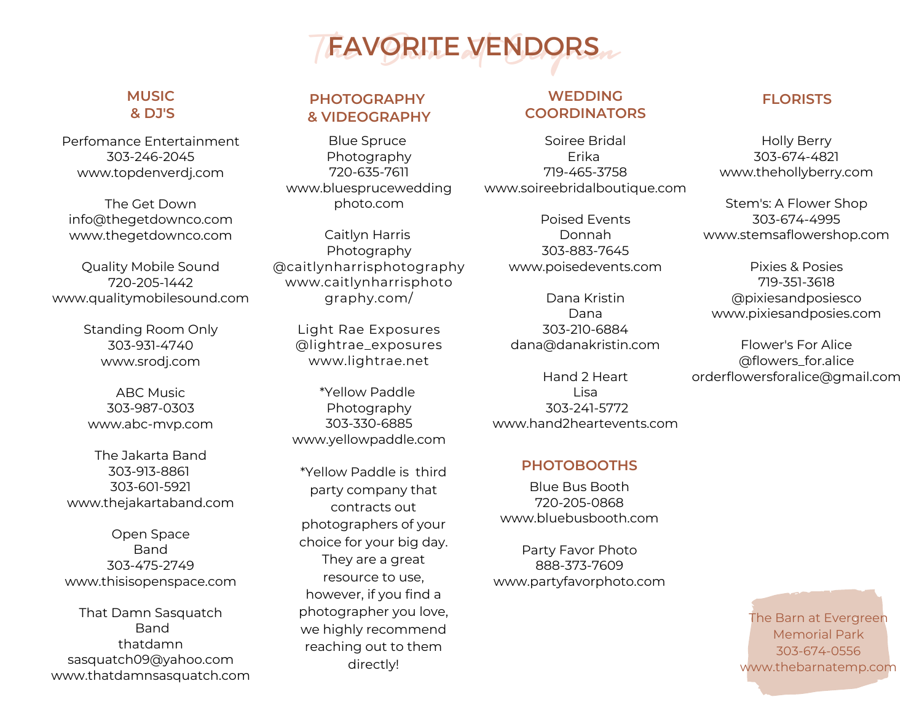

# **& DJ'S**

Perfomance Entertainment [303-246-2045](tel:3032462045) www.topdenverdj.com

The Get Down info@thegetdownco.com www.thegetdownco.com

Quality Mobile Sound 720-205-1442 www.qualitymobilesound.com

> Standing Room Only 303-931-4740 www.srodj.com

ABC Music [303-987-0303](tel:303-987-0303) www.abc-mvp.com

The Jakarta Band [303-913-8861](tel:3039138861) [303-601-5921](tel:3036015921) www.thejakartaband.com

Open Space Band 303-475-2749 www.thisisopenspace.com

That Damn Sasquatch Band thatdamn sasquatch09@yahoo.com www.thatdamnsasquatch.com

# **& VIDEOGRAPHY**

Blue Spruce Photography 720-635-7611 www.bluesprucewedding photo.com

Caitlyn Harris Photography @caitlynharrisphotography www.caitlynharrisphoto graphy.com/

> Light Rae Exposures @lightrae\_exposures www.lightrae.net

\*Yellow Paddle Photography 303-330-6885 www.yellowpaddle.com

\*Yellow Paddle is third party company that contracts out photographers of your choice for your big day. They are a great resource to use, however, if you find a photographer you love, we highly recommend reaching out to them directly!

### **WEDDING COORDINATORS MUSIC FLORISTS PHOTOGRAPHY**

Soiree Bridal Erika 719-465-3758 www.soireebridalboutique.com

> Poised Events Donnah 303-883-7645 www.poisedevents.com

Dana Kristin Dana 303-210-6884 dana@danakristin.com

Hand 2 Heart Lisa 303-241-5772 www.hand2heartevents.com

## **PHOTOBOOTHS**

Blue Bus Booth [720-205-0868](tel:7202050868) www.bluebusbooth.com

Party Favor Photo [888-373-7609](tel:1-888-373-7609) www.partyfavorphoto.com

Holly Berry 303-674-4821 www.thehollyberry.com

Stem's: A Flower Shop 303-674-4995 www.stemsaflowershop.com

Pixies & Posies 719-351-3618 @pixiesandposiesco www.pixiesandposies.com

Flower's For Alice @flowers\_for.alice orderflowersforalice@gmail.com

> The Barn at Evergreen Memorial Park 303-674-0556 www.thebarnatemp.com